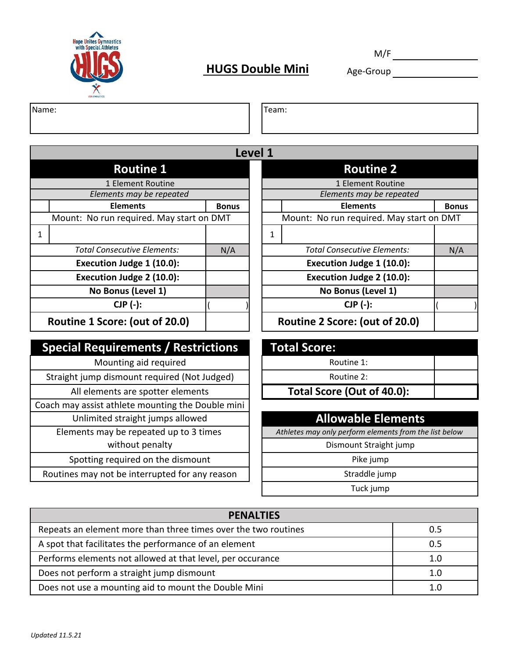

# **HUGS Double Mini** Age-Group **Age-Group**

M/F

Name: Team:

|              |                                          |              | Level 1 |                          |                                 |  |
|--------------|------------------------------------------|--------------|---------|--------------------------|---------------------------------|--|
|              | <b>Routine 1</b>                         |              |         |                          | <b>Routine 2</b>                |  |
|              | 1 Element Routine                        |              |         |                          | 1 Element Routine               |  |
|              | Elements may be repeated                 |              |         | Elements may be repeated |                                 |  |
|              | <b>Elements</b>                          | <b>Bonus</b> |         |                          | <b>Elements</b>                 |  |
|              | Mount: No run required. May start on DMT |              |         |                          | Mount: No run required. May sta |  |
| $\mathbf{1}$ |                                          |              |         | 1                        |                                 |  |
|              | <b>Total Consecutive Elements:</b>       | N/A          |         |                          | Total Consecutive Elements:     |  |
|              | Execution Judge 1 (10.0):                |              |         |                          | Execution Judge 1 (10.0):       |  |
|              | Execution Judge 2 (10.0):                |              |         |                          | Execution Judge 2 (10.0):       |  |
|              | No Bonus (Level 1)                       |              |         |                          | No Bonus (Level 1)              |  |
|              | $CJP$ $(-)$ :                            |              |         |                          | $CJP$ $(-)$ :                   |  |
|              | Routine 1 Score: (out of 20.0)           |              |         |                          | Routine 2 Score: (out of 20.0)  |  |

## **Special Requirements / Restrictions**

| Mounting aid required                             | Routine 1:                             |
|---------------------------------------------------|----------------------------------------|
| Straight jump dismount required (Not Judged)      | Routine 2:                             |
| All elements are spotter elements                 | Total Score (Out of 40.0):             |
| Coach may assist athlete mounting the Double mini |                                        |
| Unlimited straight jumps allowed                  | <b>Allowable Eleme</b>                 |
| Elements may be repeated up to 3 times            | Athletes may only perform elements fro |
| without penalty                                   | Dismount Straight jum                  |
| Spotting required on the dismount                 | Pike jump                              |
| Routines may not be interrupted for any reason    | Straddle jump                          |

|     |                                          | <b>Routine 2</b>                   |                                |
|-----|------------------------------------------|------------------------------------|--------------------------------|
|     |                                          | 1 Element Routine                  |                                |
|     |                                          | Elements may be repeated           |                                |
|     |                                          | <b>Elements</b>                    | <b>Bonus</b>                   |
|     | Mount: No run required. May start on DMT |                                    |                                |
|     |                                          |                                    |                                |
|     |                                          | <b>Total Consecutive Elements:</b> | N/A                            |
|     |                                          | Execution Judge 1 (10.0):          |                                |
|     |                                          | Execution Judge 2 (10.0):          |                                |
|     |                                          | No Bonus (Level 1)                 |                                |
|     |                                          | $CJP$ $(-)$ :                      |                                |
|     |                                          |                                    |                                |
| N/A | <b>Bonus</b>                             | Level 1                            | Routine 2 Score: (out of 20.0) |

| <b>Total Score:</b>        |  |  |  |  |  |
|----------------------------|--|--|--|--|--|
| Routine 1:                 |  |  |  |  |  |
| Routine 2:                 |  |  |  |  |  |
| Total Score (Out of 40.0): |  |  |  |  |  |

#### **Allowable Elements**

Athletes may only perform elements from the list below

Dismount Straight jump

Tuck jump

| <b>PENALTIES</b>                                               |     |  |  |  |
|----------------------------------------------------------------|-----|--|--|--|
| Repeats an element more than three times over the two routines | 0.5 |  |  |  |
| A spot that facilitates the performance of an element          | 0.5 |  |  |  |
| Performs elements not allowed at that level, per occurance     | 1.0 |  |  |  |
| Does not perform a straight jump dismount                      | 1.0 |  |  |  |
| Does not use a mounting aid to mount the Double Mini           |     |  |  |  |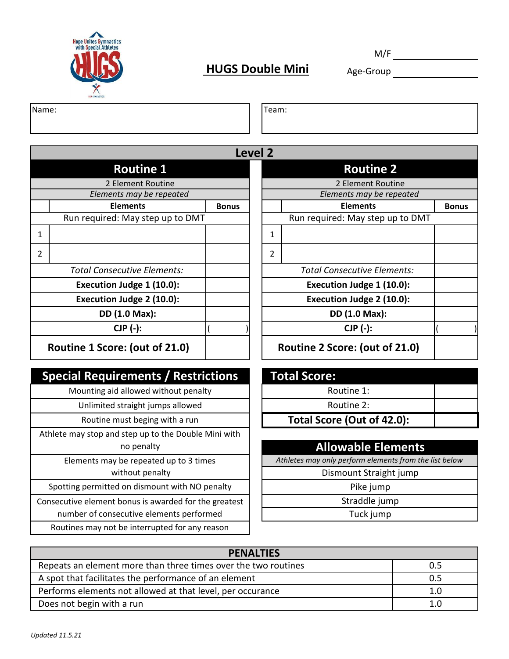

## **HUGS Double Mini** Age-Group

M/F

Name: Team:

|                |                                    | Level 2      |   |                                    |
|----------------|------------------------------------|--------------|---|------------------------------------|
|                | <b>Routine 1</b>                   |              |   | <b>Routine 2</b>                   |
|                | 2 Element Routine                  |              |   | 2 Element Routine                  |
|                | Elements may be repeated           |              |   | Elements may be repeated           |
|                | <b>Elements</b>                    | <b>Bonus</b> |   | <b>Elements</b>                    |
|                | Run required: May step up to DMT   |              |   | Run required: May step up to DMT   |
| 1              |                                    |              | 1 |                                    |
| $\overline{2}$ |                                    |              | 2 |                                    |
|                | <b>Total Consecutive Elements:</b> |              |   | <b>Total Consecutive Elements:</b> |
|                | Execution Judge 1 (10.0):          |              |   | Execution Judge 1 (10.0):          |
|                | Execution Judge 2 (10.0):          |              |   | Execution Judge 2 (10.0):          |
|                | DD (1.0 Max):                      |              |   | DD (1.0 Max):                      |
|                | $CJP$ $(-)$ :                      |              |   | $CJP$ $(-)$ :                      |
|                | Routine 1 Score: (out of 21.0)     |              |   | Routine 2 Score: (out of 21.0)     |

### **Special Requirements / Restrictions**

Mounting aid allowed without penalty

Unlimited straight jumps allowed

Routine must beging with a run

Athlete may stop and step up to the Double Mini with

Elements may be repeated up to 3 times **Athletes may only perform elements from the list below** without penalty **Dismount Straight jump** 

Spotting permitted on dismount with NO penalty  $\|\cdot\|$  Pike jump

Consecutive element bonus is awarded for the greatest  $\vert \vert$   $\vert$  straddle jump

number of consecutive elements performed

Routines may not be interrupted for any reason

| <b>Level 2</b> |                |                                    |              |
|----------------|----------------|------------------------------------|--------------|
|                |                |                                    |              |
|                |                | 2 Element Routine                  |              |
|                |                | Elements may be repeated           |              |
| <b>Bonus</b>   |                | <b>Elements</b>                    | <b>Bonus</b> |
|                |                | Run required: May step up to DMT   |              |
|                | 1              |                                    |              |
|                | $\mathfrak{p}$ |                                    |              |
|                |                | <b>Total Consecutive Elements:</b> |              |
|                |                | Execution Judge 1 (10.0):          |              |
|                |                | Execution Judge 2 (10.0):          |              |
|                |                | DD (1.0 Max):                      |              |
|                |                | $CJP$ $(-)$ :                      |              |
|                |                | Routine 2 Score: (out of 21.0)     |              |

| <b>Total Score:</b>        |  |  |  |  |  |
|----------------------------|--|--|--|--|--|
| Routine 1:                 |  |  |  |  |  |
| Routine 2:                 |  |  |  |  |  |
| Total Score (Out of 42.0): |  |  |  |  |  |

## no penalty **Allowable Elements**

Tuck jump

| <b>PENALTIES</b>                                               |     |  |  |  |
|----------------------------------------------------------------|-----|--|--|--|
| Repeats an element more than three times over the two routines | 0.5 |  |  |  |
| A spot that facilitates the performance of an element          | 0.5 |  |  |  |
| Performs elements not allowed at that level, per occurance     | 1.0 |  |  |  |
| Does not begin with a run                                      | 1.0 |  |  |  |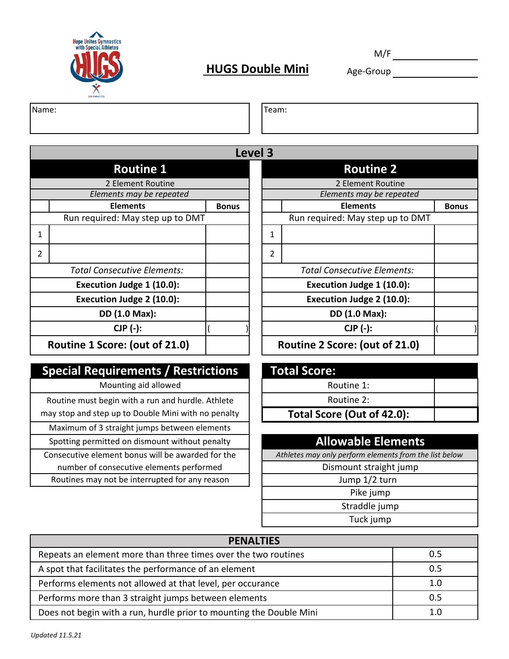

## **HUGS Double Mini** Age-Group

M/F

Name: Team:

1 | 1 2 2 2 Element Routine **Level 3 Routine 1 Routine 2** *Elements may be repeated Elements may be repeated* **Elements Elements** Run required: May step up to DMT *Total Consecutive Elements: Total Consecutive Elements:* **Execution Judge 1 (10.0): Execution Judge 1 (10.0): Execution Judge 2 (10.0): Execution Judge 2 (10.0): DD (1.0 Max): DD (1.0 Max): CJP (-): CJP (-): Routine 1 Score: (out of 21.0)** 

#### **Special Requirements / Restrictions**

Mounting aid allowed

Consecutive element bonus will be awarded for the *Athletes may only perform elements from the list below* Routine must begin with a run and hurdle. Athlete may stop and step up to Double Mini with no penalty Maximum of 3 straight jumps between elements Spotting permitted on dismount without penalty **Allowable Elements** number of consecutive elements performed and discussed all polynomials of consecutive elements performed and  $\vert$ Routines may not be interrupted for any reason  $\vert \vert$  |  $\vert$  |  $\vert$  |  $\vert$  |  $\vert$  |  $\vert$  |  $\vert$  |  $\vert$  |  $\vert$  |  $\vert$  |  $\vert$  |  $\vert$  |  $\vert$  |  $\vert$  |  $\vert$  |  $\vert$  |  $\vert$  |  $\vert$  |  $\vert$  |  $\vert$  |  $\vert$  |  $\vert$  |  $\vert$  |  $\vert$  |  $\vert$ 

|              | LCVCI J |                                    |              |
|--------------|---------|------------------------------------|--------------|
|              |         | <b>Routine 2</b>                   |              |
|              |         | 2 Element Routine                  |              |
|              |         | Elements may be repeated           |              |
| <b>Bonus</b> |         | <b>Elements</b>                    | <b>Bonus</b> |
|              |         | Run required: May step up to DMT   |              |
|              | 1       |                                    |              |
|              | 2       |                                    |              |
|              |         | <b>Total Consecutive Elements:</b> |              |
|              |         | Execution Judge 1 (10.0):          |              |
|              |         | Execution Judge 2 (10.0):          |              |
|              |         | DD (1.0 Max):                      |              |
|              |         | $CJP$ $(-)$ :                      |              |
|              |         | Routine 2 Score: (out of 21.0)     |              |

| <b>Total Score:</b>        |  |  |  |  |  |
|----------------------------|--|--|--|--|--|
| Routine 1:                 |  |  |  |  |  |
| Routine 2:                 |  |  |  |  |  |
| Total Score (Out of 42.0): |  |  |  |  |  |

Pike jump Straddle jump Tuck jump

| <b>PENALTIES</b>                                                    |     |  |  |  |
|---------------------------------------------------------------------|-----|--|--|--|
| Repeats an element more than three times over the two routines      | 0.5 |  |  |  |
| A spot that facilitates the performance of an element               | 0.5 |  |  |  |
| Performs elements not allowed at that level, per occurance          | 1.0 |  |  |  |
| Performs more than 3 straight jumps between elements                | 0.5 |  |  |  |
| Does not begin with a run, hurdle prior to mounting the Double Mini |     |  |  |  |